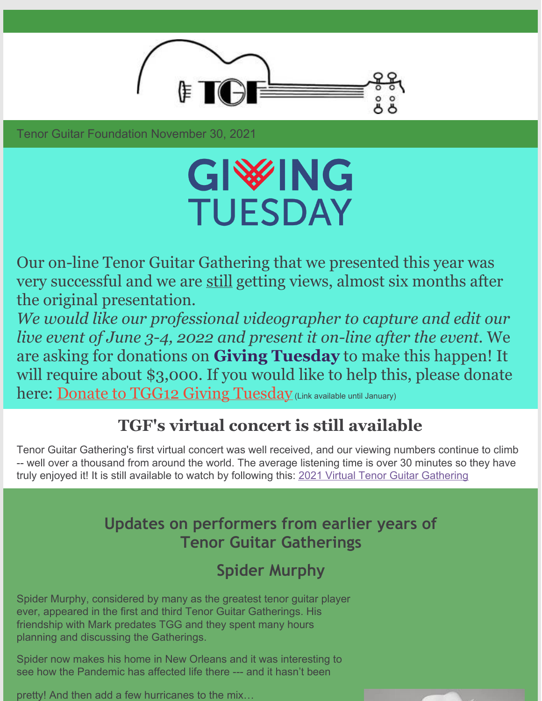

Tenor Guitar Foundation November 30, 2021

# GIWHG **TUESDAY**

Our on-line Tenor Guitar Gathering that we presented this year was very successful and we are still getting views, almost six months after the original presentation.

*We would like our professional videographer to capture and edit our live event of June 3-4, 2022 and present it on-line after the event.* We are asking for donations on **Giving Tuesday** to make this happen! It will require about \$3,000. If you would like to help this, please donate here: Donate to TGG12 Giving [Tuesday](https://www.paypal.com/donate/?hosted_button_id=ARGWNVC8DM93A) (Link available until January)

### **TGF's virtual concert is still available**

Tenor Guitar Gathering's first virtual concert was well received, and our viewing numbers continue to climb -- well over a thousand from around the world. The average listening time is over 30 minutes so they have truly enjoyed it! It is still available to watch by following this: 2021 Virtual Tenor Guitar [Gathering](https://www.tenorguitargathering.info)

#### **Updates on performers from earlier years of Tenor Guitar Gatherings**

## **Spider Murphy**

Spider Murphy, considered by many as the greatest tenor guitar player ever, appeared in the first and third Tenor Guitar Gatherings. His friendship with Mark predates TGG and they spent many hours planning and discussing the Gatherings.

Spider now makes his home in New Orleans and it was interesting to see how the Pandemic has affected life there --- and it hasn't been

pretty! And then add a few hurricanes to the mix…

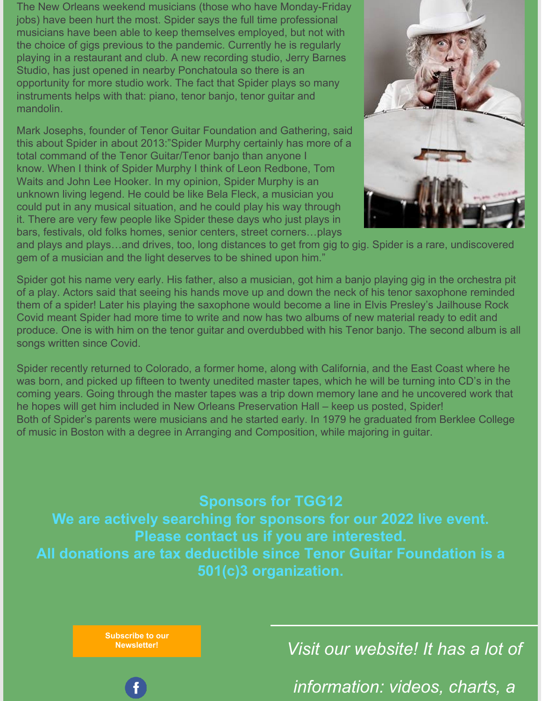The New Orleans weekend musicians (those who have Monday-Friday jobs) have been hurt the most. Spider says the full time professional musicians have been able to keep themselves employed, but not with the choice of gigs previous to the pandemic. Currently he is regularly playing in a restaurant and club. A new recording studio, Jerry Barnes Studio, has just opened in nearby Ponchatoula so there is an opportunity for more studio work. The fact that Spider plays so many instruments helps with that: piano, tenor banjo, tenor guitar and mandolin.

Mark Josephs, founder of Tenor Guitar Foundation and Gathering, said this about Spider in about 2013:"Spider Murphy certainly has more of a total command of the Tenor Guitar/Tenor banjo than anyone I know. When I think of Spider Murphy I think of Leon Redbone, Tom Waits and John Lee Hooker. In my opinion, Spider Murphy is an unknown living legend. He could be like Bela Fleck, a musician you could put in any musical situation, and he could play his way through it. There are very few people like Spider these days who just plays in bars, festivals, old folks homes, senior centers, street corners…plays



and plays and plays…and drives, too, long distances to get from gig to gig. Spider is a rare, undiscovered gem of a musician and the light deserves to be shined upon him."

Spider got his name very early. His father, also a musician, got him a banjo playing gig in the orchestra pit of a play. Actors said that seeing his hands move up and down the neck of his tenor saxophone reminded them of a spider! Later his playing the saxophone would become a line in Elvis Presley's Jailhouse Rock Covid meant Spider had more time to write and now has two albums of new material ready to edit and produce. One is with him on the tenor guitar and overdubbed with his Tenor banjo. The second album is all songs written since Covid.

Spider recently returned to Colorado, a former home, along with California, and the East Coast where he was born, and picked up fifteen to twenty unedited master tapes, which he will be turning into CD's in the coming years. Going through the master tapes was a trip down memory lane and he uncovered work that he hopes will get him included in New Orleans Preservation Hall – keep us posted, Spider! Both of Spider's parents were musicians and he started early. In 1979 he graduated from Berklee College of music in Boston with a degree in Arranging and Composition, while majoring in guitar.

**Sponsors for TGG12 We are actively searching for sponsors for our 2022 live event. Please contact us if you are interested. All donations are tax deductible since Tenor Guitar Foundation is a 501(c)3 organization.**

**Subscribe to our**

**[Newsletter!](https://lp.constantcontact.com/su/24DTE4j?source_id=aedd6ce0-e2ac-4323-8423-72a4ed2a1e03&source_type=em&c=)** *Visit our website! It has a lot of*

*information: videos, charts, a*